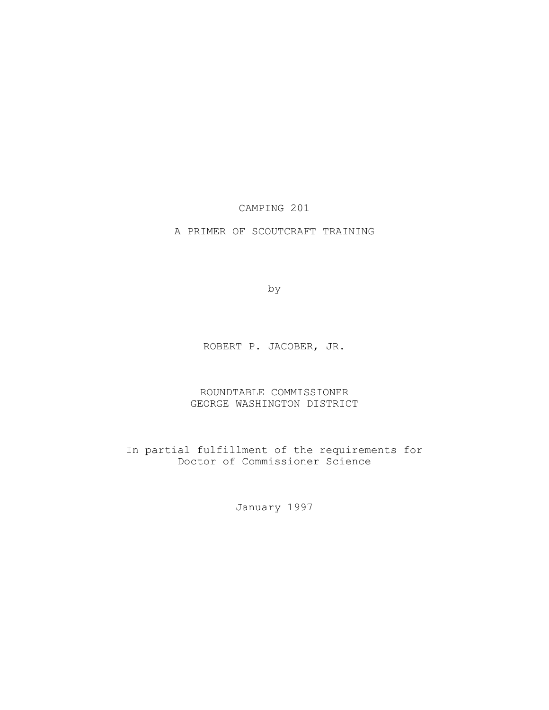CAMPING 201

A PRIMER OF SCOUTCRAFT TRAINING

by

ROBERT P. JACOBER, JR.

ROUNDTABLE COMMISSIONER GEORGE WASHINGTON DISTRICT

In partial fulfillment of the requirements for Doctor of Commissioner Science

January 1997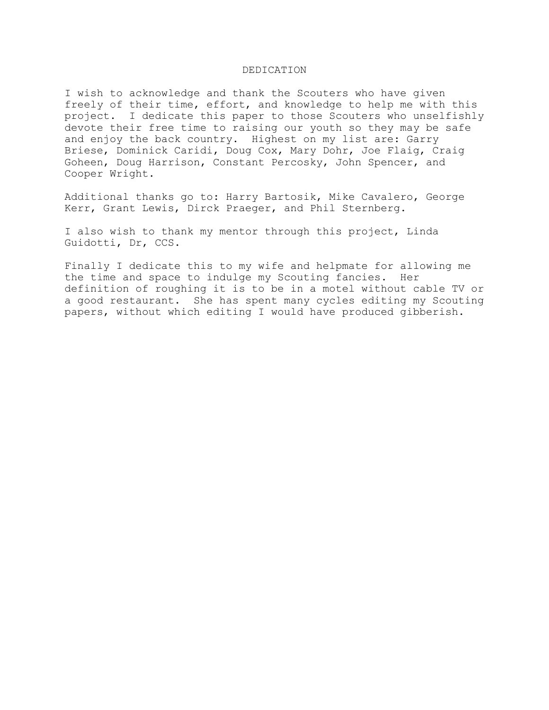#### DEDICATION

I wish to acknowledge and thank the Scouters who have given freely of their time, effort, and knowledge to help me with this project. I dedicate this paper to those Scouters who unselfishly devote their free time to raising our youth so they may be safe and enjoy the back country. Highest on my list are: Garry Briese, Dominick Caridi, Doug Cox, Mary Dohr, Joe Flaig, Craig Goheen, Doug Harrison, Constant Percosky, John Spencer, and Cooper Wright.

Additional thanks go to: Harry Bartosik, Mike Cavalero, George Kerr, Grant Lewis, Dirck Praeger, and Phil Sternberg.

I also wish to thank my mentor through this project, Linda Guidotti, Dr, CCS.

Finally I dedicate this to my wife and helpmate for allowing me the time and space to indulge my Scouting fancies. Her definition of roughing it is to be in a motel without cable TV or a good restaurant. She has spent many cycles editing my Scouting papers, without which editing I would have produced gibberish.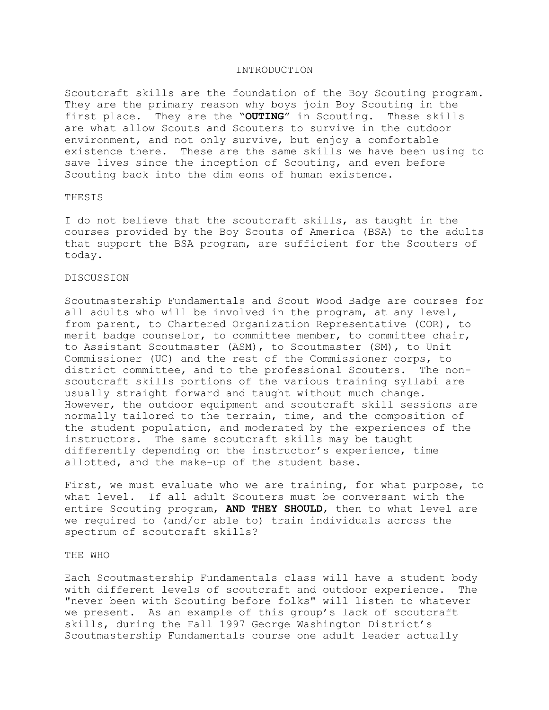#### INTRODUCTION

Scoutcraft skills are the foundation of the Boy Scouting program. They are the primary reason why boys join Boy Scouting in the first place. They are the "**OUTING**" in Scouting. These skills are what allow Scouts and Scouters to survive in the outdoor environment, and not only survive, but enjoy a comfortable existence there. These are the same skills we have been using to save lives since the inception of Scouting, and even before Scouting back into the dim eons of human existence.

# **THESIS**

I do not believe that the scoutcraft skills, as taught in the courses provided by the Boy Scouts of America (BSA) to the adults that support the BSA program, are sufficient for the Scouters of today.

### DISCUSSION

Scoutmastership Fundamentals and Scout Wood Badge are courses for all adults who will be involved in the program, at any level, from parent, to Chartered Organization Representative (COR), to merit badge counselor, to committee member, to committee chair, to Assistant Scoutmaster (ASM), to Scoutmaster (SM), to Unit Commissioner (UC) and the rest of the Commissioner corps, to district committee, and to the professional Scouters. The nonscoutcraft skills portions of the various training syllabi are usually straight forward and taught without much change. However, the outdoor equipment and scoutcraft skill sessions are normally tailored to the terrain, time, and the composition of the student population, and moderated by the experiences of the instructors. The same scoutcraft skills may be taught differently depending on the instructor's experience, time allotted, and the make-up of the student base.

First, we must evaluate who we are training, for what purpose, to what level. If all adult Scouters must be conversant with the entire Scouting program, **AND THEY SHOULD**, then to what level are we required to (and/or able to) train individuals across the spectrum of scoutcraft skills?

### THE WHO

Each Scoutmastership Fundamentals class will have a student body with different levels of scoutcraft and outdoor experience. The "never been with Scouting before folks" will listen to whatever we present. As an example of this group's lack of scoutcraft skills, during the Fall 1997 George Washington District's Scoutmastership Fundamentals course one adult leader actually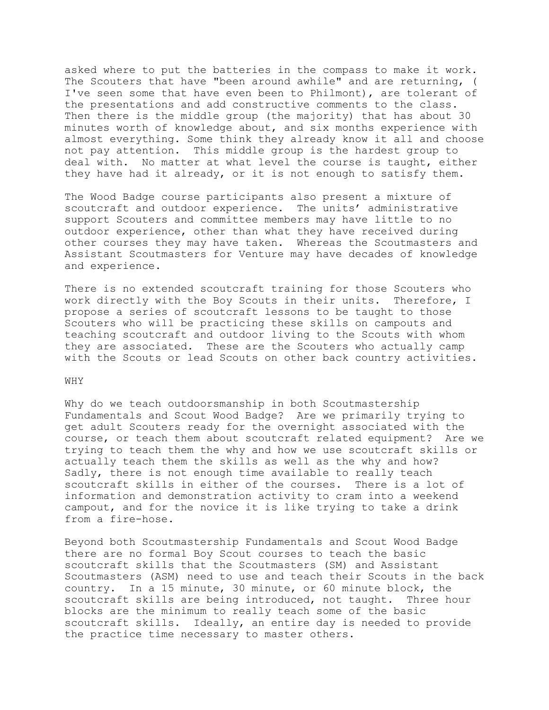asked where to put the batteries in the compass to make it work. The Scouters that have "been around awhile" and are returning, ( I've seen some that have even been to Philmont), are tolerant of the presentations and add constructive comments to the class. Then there is the middle group (the majority) that has about 30 minutes worth of knowledge about, and six months experience with almost everything. Some think they already know it all and choose not pay attention. This middle group is the hardest group to deal with. No matter at what level the course is taught, either they have had it already, or it is not enough to satisfy them.

The Wood Badge course participants also present a mixture of scoutcraft and outdoor experience. The units' administrative support Scouters and committee members may have little to no outdoor experience, other than what they have received during other courses they may have taken. Whereas the Scoutmasters and Assistant Scoutmasters for Venture may have decades of knowledge and experience.

There is no extended scoutcraft training for those Scouters who work directly with the Boy Scouts in their units. Therefore, I propose a series of scoutcraft lessons to be taught to those Scouters who will be practicing these skills on campouts and teaching scoutcraft and outdoor living to the Scouts with whom they are associated. These are the Scouters who actually camp with the Scouts or lead Scouts on other back country activities.

### WHY

Why do we teach outdoorsmanship in both Scoutmastership Fundamentals and Scout Wood Badge? Are we primarily trying to get adult Scouters ready for the overnight associated with the course, or teach them about scoutcraft related equipment? Are we trying to teach them the why and how we use scoutcraft skills or actually teach them the skills as well as the why and how? Sadly, there is not enough time available to really teach scoutcraft skills in either of the courses. There is a lot of information and demonstration activity to cram into a weekend campout, and for the novice it is like trying to take a drink from a fire-hose.

Beyond both Scoutmastership Fundamentals and Scout Wood Badge there are no formal Boy Scout courses to teach the basic scoutcraft skills that the Scoutmasters (SM) and Assistant Scoutmasters (ASM) need to use and teach their Scouts in the back country. In a 15 minute, 30 minute, or 60 minute block, the scoutcraft skills are being introduced, not taught. Three hour blocks are the minimum to really teach some of the basic scoutcraft skills. Ideally, an entire day is needed to provide the practice time necessary to master others.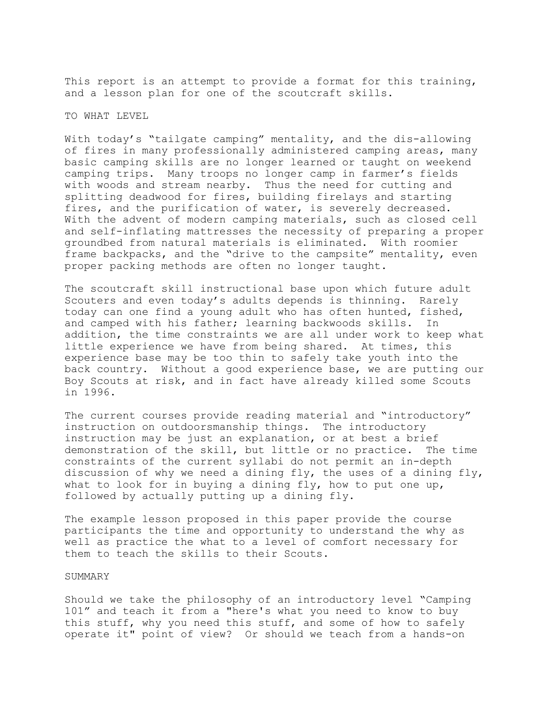This report is an attempt to provide a format for this training, and a lesson plan for one of the scoutcraft skills.

### TO WHAT LEVEL

With today's "tailgate camping" mentality, and the dis-allowing of fires in many professionally administered camping areas, many basic camping skills are no longer learned or taught on weekend camping trips. Many troops no longer camp in farmer's fields with woods and stream nearby. Thus the need for cutting and splitting deadwood for fires, building firelays and starting fires, and the purification of water, is severely decreased. With the advent of modern camping materials, such as closed cell and self-inflating mattresses the necessity of preparing a proper groundbed from natural materials is eliminated. With roomier frame backpacks, and the "drive to the campsite" mentality, even proper packing methods are often no longer taught.

The scoutcraft skill instructional base upon which future adult Scouters and even today's adults depends is thinning. Rarely today can one find a young adult who has often hunted, fished, and camped with his father; learning backwoods skills. In addition, the time constraints we are all under work to keep what little experience we have from being shared. At times, this experience base may be too thin to safely take youth into the back country. Without a good experience base, we are putting our Boy Scouts at risk, and in fact have already killed some Scouts in 1996.

The current courses provide reading material and "introductory" instruction on outdoorsmanship things. The introductory instruction may be just an explanation, or at best a brief demonstration of the skill, but little or no practice. The time constraints of the current syllabi do not permit an in-depth discussion of why we need a dining fly, the uses of a dining fly, what to look for in buying a dining fly, how to put one up, followed by actually putting up a dining fly.

The example lesson proposed in this paper provide the course participants the time and opportunity to understand the why as well as practice the what to a level of comfort necessary for them to teach the skills to their Scouts.

### SUMMARY

Should we take the philosophy of an introductory level "Camping 101" and teach it from a "here's what you need to know to buy this stuff, why you need this stuff, and some of how to safely operate it" point of view? Or should we teach from a hands-on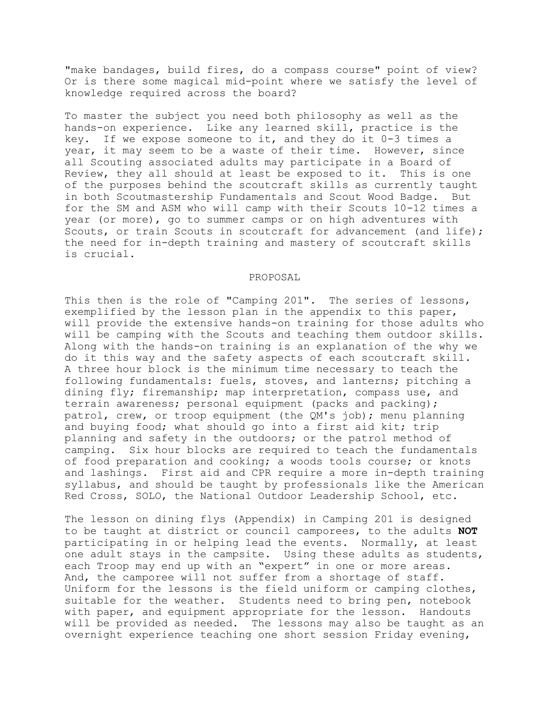"make bandages, build fires, do a compass course" point of view? Or is there some magical mid-point where we satisfy the level of knowledge required across the board?

To master the subject you need both philosophy as well as the hands-on experience. Like any learned skill, practice is the key. If we expose someone to it, and they do it 0-3 times a year, it may seem to be a waste of their time. However, since all Scouting associated adults may participate in a Board of Review, they all should at least be exposed to it. This is one of the purposes behind the scoutcraft skills as currently taught in both Scoutmastership Fundamentals and Scout Wood Badge. But for the SM and ASM who will camp with their Scouts 10-12 times a year (or more), go to summer camps or on high adventures with Scouts, or train Scouts in scoutcraft for advancement (and life); the need for in-depth training and mastery of scoutcraft skills is crucial.

#### PROPOSAL

This then is the role of "Camping 201". The series of lessons, exemplified by the lesson plan in the appendix to this paper, will provide the extensive hands-on training for those adults who will be camping with the Scouts and teaching them outdoor skills. Along with the hands-on training is an explanation of the why we do it this way and the safety aspects of each scoutcraft skill. A three hour block is the minimum time necessary to teach the following fundamentals: fuels, stoves, and lanterns; pitching a dining fly; firemanship; map interpretation, compass use, and terrain awareness; personal equipment (packs and packing); patrol, crew, or troop equipment (the QM's job); menu planning and buying food; what should go into a first aid kit; trip planning and safety in the outdoors; or the patrol method of camping. Six hour blocks are required to teach the fundamentals of food preparation and cooking; a woods tools course; or knots and lashings. First aid and CPR require a more in-depth training syllabus, and should be taught by professionals like the American Red Cross, SOLO, the National Outdoor Leadership School, etc.

The lesson on dining flys (Appendix) in Camping 201 is designed to be taught at district or council camporees, to the adults **NOT** participating in or helping lead the events. Normally, at least one adult stays in the campsite. Using these adults as students, each Troop may end up with an "expert" in one or more areas. And, the camporee will not suffer from a shortage of staff. Uniform for the lessons is the field uniform or camping clothes, suitable for the weather. Students need to bring pen, notebook with paper, and equipment appropriate for the lesson. Handouts will be provided as needed. The lessons may also be taught as an overnight experience teaching one short session Friday evening,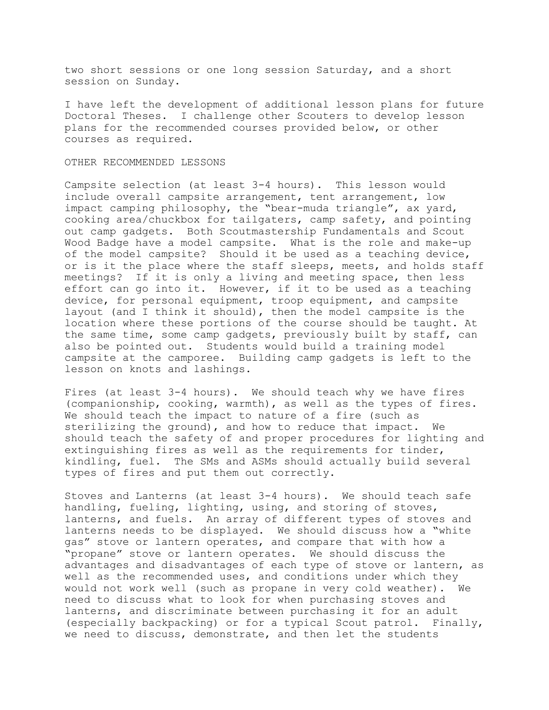two short sessions or one long session Saturday, and a short session on Sunday.

I have left the development of additional lesson plans for future Doctoral Theses. I challenge other Scouters to develop lesson plans for the recommended courses provided below, or other courses as required.

#### OTHER RECOMMENDED LESSONS

Campsite selection (at least 3-4 hours). This lesson would include overall campsite arrangement, tent arrangement, low impact camping philosophy, the "bear-muda triangle", ax yard, cooking area/chuckbox for tailgaters, camp safety, and pointing out camp gadgets. Both Scoutmastership Fundamentals and Scout Wood Badge have a model campsite. What is the role and make-up of the model campsite? Should it be used as a teaching device, or is it the place where the staff sleeps, meets, and holds staff meetings? If it is only a living and meeting space, then less effort can go into it. However, if it to be used as a teaching device, for personal equipment, troop equipment, and campsite layout (and I think it should), then the model campsite is the location where these portions of the course should be taught. At the same time, some camp gadgets, previously built by staff, can also be pointed out. Students would build a training model campsite at the camporee. Building camp gadgets is left to the lesson on knots and lashings.

Fires (at least 3-4 hours). We should teach why we have fires (companionship, cooking, warmth), as well as the types of fires. We should teach the impact to nature of a fire (such as sterilizing the ground), and how to reduce that impact. We should teach the safety of and proper procedures for lighting and extinguishing fires as well as the requirements for tinder, kindling, fuel. The SMs and ASMs should actually build several types of fires and put them out correctly.

Stoves and Lanterns (at least 3-4 hours). We should teach safe handling, fueling, lighting, using, and storing of stoves, lanterns, and fuels. An array of different types of stoves and lanterns needs to be displayed. We should discuss how a "white gas" stove or lantern operates, and compare that with how a "propane" stove or lantern operates. We should discuss the advantages and disadvantages of each type of stove or lantern, as well as the recommended uses, and conditions under which they would not work well (such as propane in very cold weather). We need to discuss what to look for when purchasing stoves and lanterns, and discriminate between purchasing it for an adult (especially backpacking) or for a typical Scout patrol. Finally, we need to discuss, demonstrate, and then let the students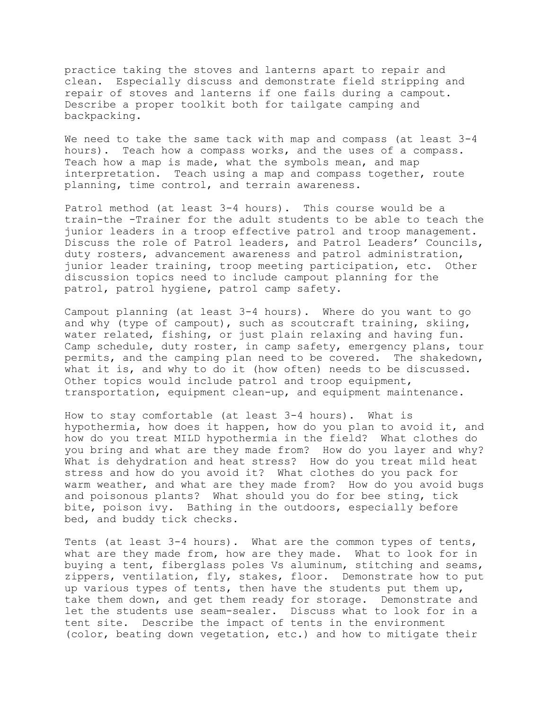practice taking the stoves and lanterns apart to repair and clean. Especially discuss and demonstrate field stripping and repair of stoves and lanterns if one fails during a campout. Describe a proper toolkit both for tailgate camping and backpacking.

We need to take the same tack with map and compass (at least 3-4 hours). Teach how a compass works, and the uses of a compass. Teach how a map is made, what the symbols mean, and map interpretation. Teach using a map and compass together, route planning, time control, and terrain awareness.

Patrol method (at least 3-4 hours). This course would be a train-the -Trainer for the adult students to be able to teach the junior leaders in a troop effective patrol and troop management. Discuss the role of Patrol leaders, and Patrol Leaders' Councils, duty rosters, advancement awareness and patrol administration, junior leader training, troop meeting participation, etc. Other discussion topics need to include campout planning for the patrol, patrol hygiene, patrol camp safety.

Campout planning (at least 3-4 hours). Where do you want to go and why (type of campout), such as scoutcraft training, skiing, water related, fishing, or just plain relaxing and having fun. Camp schedule, duty roster, in camp safety, emergency plans, tour permits, and the camping plan need to be covered. The shakedown, what it is, and why to do it (how often) needs to be discussed. Other topics would include patrol and troop equipment, transportation, equipment clean-up, and equipment maintenance.

How to stay comfortable (at least 3-4 hours). What is hypothermia, how does it happen, how do you plan to avoid it, and how do you treat MILD hypothermia in the field? What clothes do you bring and what are they made from? How do you layer and why? What is dehydration and heat stress? How do you treat mild heat stress and how do you avoid it? What clothes do you pack for warm weather, and what are they made from? How do you avoid bugs and poisonous plants? What should you do for bee sting, tick bite, poison ivy. Bathing in the outdoors, especially before bed, and buddy tick checks.

Tents (at least 3-4 hours). What are the common types of tents, what are they made from, how are they made. What to look for in buying a tent, fiberglass poles Vs aluminum, stitching and seams, zippers, ventilation, fly, stakes, floor. Demonstrate how to put up various types of tents, then have the students put them up, take them down, and get them ready for storage. Demonstrate and let the students use seam-sealer. Discuss what to look for in a tent site. Describe the impact of tents in the environment (color, beating down vegetation, etc.) and how to mitigate their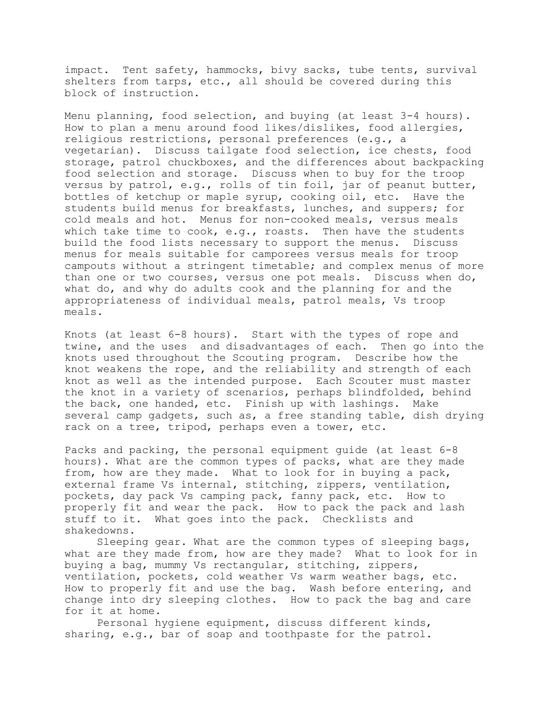impact. Tent safety, hammocks, bivy sacks, tube tents, survival shelters from tarps, etc., all should be covered during this block of instruction.

Menu planning, food selection, and buying (at least 3-4 hours). How to plan a menu around food likes/dislikes, food allergies, religious restrictions, personal preferences (e.g., a vegetarian). Discuss tailgate food selection, ice chests, food storage, patrol chuckboxes, and the differences about backpacking food selection and storage. Discuss when to buy for the troop versus by patrol, e.g., rolls of tin foil, jar of peanut butter, bottles of ketchup or maple syrup, cooking oil, etc. Have the students build menus for breakfasts, lunches, and suppers; for cold meals and hot. Menus for non-cooked meals, versus meals which take time to cook, e.g., roasts. Then have the students build the food lists necessary to support the menus. Discuss menus for meals suitable for camporees versus meals for troop campouts without a stringent timetable; and complex menus of more than one or two courses, versus one pot meals. Discuss when do, what do, and why do adults cook and the planning for and the appropriateness of individual meals, patrol meals, Vs troop meals.

Knots (at least 6-8 hours). Start with the types of rope and twine, and the uses and disadvantages of each. Then go into the knots used throughout the Scouting program. Describe how the knot weakens the rope, and the reliability and strength of each knot as well as the intended purpose. Each Scouter must master the knot in a variety of scenarios, perhaps blindfolded, behind the back, one handed, etc. Finish up with lashings. Make several camp gadgets, such as, a free standing table, dish drying rack on a tree, tripod, perhaps even a tower, etc.

Packs and packing, the personal equipment guide (at least 6-8 hours). What are the common types of packs, what are they made from, how are they made. What to look for in buying a pack, external frame Vs internal, stitching, zippers, ventilation, pockets, day pack Vs camping pack, fanny pack, etc. How to properly fit and wear the pack. How to pack the pack and lash stuff to it. What goes into the pack. Checklists and shakedowns.

Sleeping gear. What are the common types of sleeping bags, what are they made from, how are they made? What to look for in buying a bag, mummy Vs rectangular, stitching, zippers, ventilation, pockets, cold weather Vs warm weather bags, etc. How to properly fit and use the bag. Wash before entering, and change into dry sleeping clothes. How to pack the bag and care for it at home.

Personal hygiene equipment, discuss different kinds, sharing, e.g., bar of soap and toothpaste for the patrol.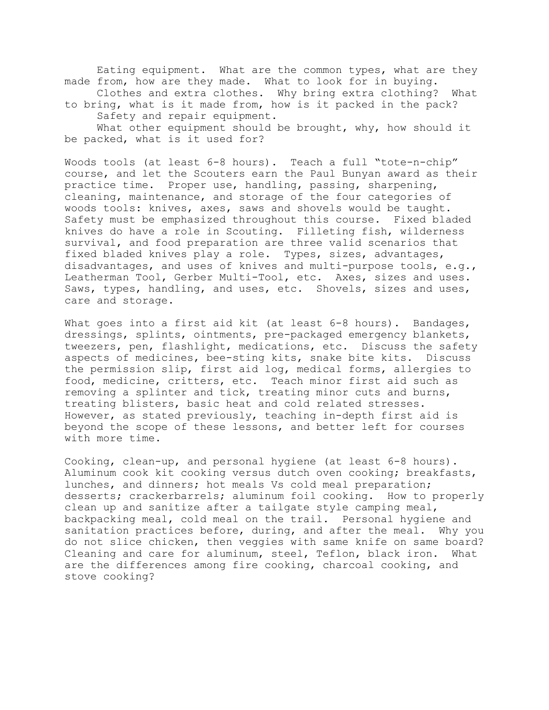Eating equipment. What are the common types, what are they made from, how are they made. What to look for in buying. Clothes and extra clothes. Why bring extra clothing? What to bring, what is it made from, how is it packed in the pack? Safety and repair equipment. What other equipment should be brought, why, how should it be packed, what is it used for?

Woods tools (at least 6-8 hours). Teach a full "tote-n-chip" course, and let the Scouters earn the Paul Bunyan award as their practice time. Proper use, handling, passing, sharpening, cleaning, maintenance, and storage of the four categories of woods tools: knives, axes, saws and shovels would be taught. Safety must be emphasized throughout this course. Fixed bladed knives do have a role in Scouting. Filleting fish, wilderness survival, and food preparation are three valid scenarios that fixed bladed knives play a role. Types, sizes, advantages, disadvantages, and uses of knives and multi-purpose tools, e.g., Leatherman Tool, Gerber Multi-Tool, etc. Axes, sizes and uses. Saws, types, handling, and uses, etc. Shovels, sizes and uses, care and storage.

What goes into a first aid kit (at least 6-8 hours). Bandages, dressings, splints, ointments, pre-packaged emergency blankets, tweezers, pen, flashlight, medications, etc. Discuss the safety aspects of medicines, bee-sting kits, snake bite kits. Discuss the permission slip, first aid log, medical forms, allergies to food, medicine, critters, etc. Teach minor first aid such as removing a splinter and tick, treating minor cuts and burns, treating blisters, basic heat and cold related stresses. However, as stated previously, teaching in-depth first aid is beyond the scope of these lessons, and better left for courses with more time.

Cooking, clean-up, and personal hygiene (at least 6-8 hours). Aluminum cook kit cooking versus dutch oven cooking; breakfasts, lunches, and dinners; hot meals Vs cold meal preparation; desserts; crackerbarrels; aluminum foil cooking. How to properly clean up and sanitize after a tailgate style camping meal, backpacking meal, cold meal on the trail. Personal hygiene and sanitation practices before, during, and after the meal. Why you do not slice chicken, then veggies with same knife on same board? Cleaning and care for aluminum, steel, Teflon, black iron. What are the differences among fire cooking, charcoal cooking, and stove cooking?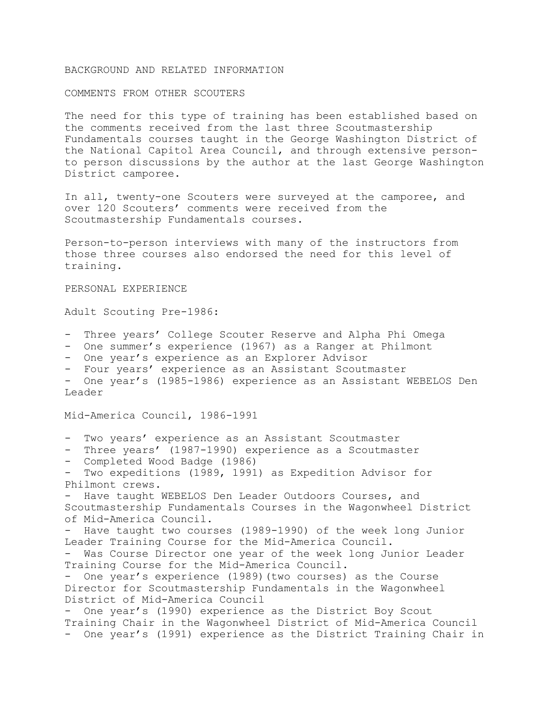### BACKGROUND AND RELATED INFORMATION

### COMMENTS FROM OTHER SCOUTERS

The need for this type of training has been established based on the comments received from the last three Scoutmastership Fundamentals courses taught in the George Washington District of the National Capitol Area Council, and through extensive personto person discussions by the author at the last George Washington District camporee.

In all, twenty-one Scouters were surveyed at the camporee, and over 120 Scouters' comments were received from the Scoutmastership Fundamentals courses.

Person-to-person interviews with many of the instructors from those three courses also endorsed the need for this level of training.

#### PERSONAL EXPERIENCE

Adult Scouting Pre-1986:

- Three years' College Scouter Reserve and Alpha Phi Omega
- One summer's experience (1967) as a Ranger at Philmont
- One year's experience as an Explorer Advisor
- Four years' experience as an Assistant Scoutmaster

- One year's (1985-1986) experience as an Assistant WEBELOS Den Leader

Mid-America Council, 1986-1991

- Two years' experience as an Assistant Scoutmaster
- Three years' (1987-1990) experience as a Scoutmaster
- Completed Wood Badge (1986)

- Two expeditions (1989, 1991) as Expedition Advisor for Philmont crews.

- Have taught WEBELOS Den Leader Outdoors Courses, and Scoutmastership Fundamentals Courses in the Wagonwheel District of Mid-America Council.

Have taught two courses (1989-1990) of the week long Junior Leader Training Course for the Mid-America Council.

- Was Course Director one year of the week long Junior Leader Training Course for the Mid-America Council.

- One year's experience (1989)(two courses) as the Course Director for Scoutmastership Fundamentals in the Wagonwheel District of Mid-America Council

- One year's (1990) experience as the District Boy Scout Training Chair in the Wagonwheel District of Mid-America Council - One year's (1991) experience as the District Training Chair in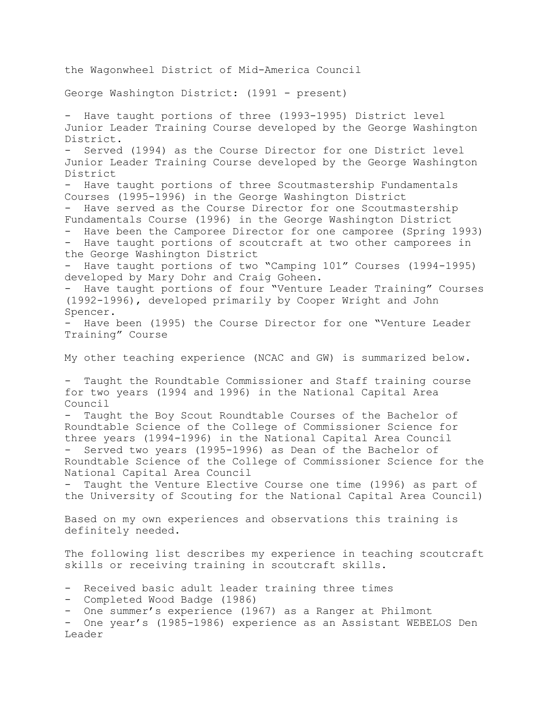the Wagonwheel District of Mid-America Council George Washington District: (1991 - present) - Have taught portions of three (1993-1995) District level Junior Leader Training Course developed by the George Washington District. Served (1994) as the Course Director for one District level Junior Leader Training Course developed by the George Washington District Have taught portions of three Scoutmastership Fundamentals Courses (1995-1996) in the George Washington District - Have served as the Course Director for one Scoutmastership Fundamentals Course (1996) in the George Washington District - Have been the Camporee Director for one camporee (Spring 1993) - Have taught portions of scoutcraft at two other camporees in the George Washington District - Have taught portions of two "Camping 101" Courses (1994-1995) developed by Mary Dohr and Craig Goheen. - Have taught portions of four "Venture Leader Training" Courses (1992-1996), developed primarily by Cooper Wright and John Spencer. - Have been (1995) the Course Director for one "Venture Leader Training" Course My other teaching experience (NCAC and GW) is summarized below. - Taught the Roundtable Commissioner and Staff training course for two years (1994 and 1996) in the National Capital Area Council Taught the Boy Scout Roundtable Courses of the Bachelor of Roundtable Science of the College of Commissioner Science for three years (1994-1996) in the National Capital Area Council Served two years (1995-1996) as Dean of the Bachelor of Roundtable Science of the College of Commissioner Science for the National Capital Area Council - Taught the Venture Elective Course one time (1996) as part of the University of Scouting for the National Capital Area Council) Based on my own experiences and observations this training is definitely needed. The following list describes my experience in teaching scoutcraft skills or receiving training in scoutcraft skills. - Received basic adult leader training three times - Completed Wood Badge (1986) - One summer's experience (1967) as a Ranger at Philmont - One year's (1985-1986) experience as an Assistant WEBELOS Den Leader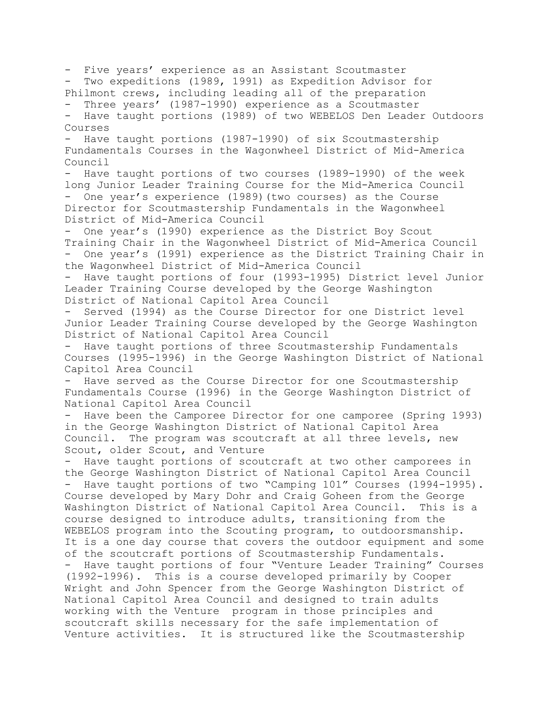- Five years' experience as an Assistant Scoutmaster - Two expeditions (1989, 1991) as Expedition Advisor for Philmont crews, including leading all of the preparation - Three years' (1987-1990) experience as a Scoutmaster - Have taught portions (1989) of two WEBELOS Den Leader Outdoors Courses - Have taught portions (1987-1990) of six Scoutmastership Fundamentals Courses in the Wagonwheel District of Mid-America Council - Have taught portions of two courses (1989-1990) of the week long Junior Leader Training Course for the Mid-America Council - One year's experience (1989)(two courses) as the Course Director for Scoutmastership Fundamentals in the Wagonwheel District of Mid-America Council - One year's (1990) experience as the District Boy Scout Training Chair in the Wagonwheel District of Mid-America Council - One year's (1991) experience as the District Training Chair in the Wagonwheel District of Mid-America Council - Have taught portions of four (1993-1995) District level Junior Leader Training Course developed by the George Washington District of National Capitol Area Council Served (1994) as the Course Director for one District level Junior Leader Training Course developed by the George Washington District of National Capitol Area Council Have taught portions of three Scoutmastership Fundamentals Courses (1995-1996) in the George Washington District of National Capitol Area Council - Have served as the Course Director for one Scoutmastership Fundamentals Course (1996) in the George Washington District of National Capitol Area Council Have been the Camporee Director for one camporee (Spring 1993) in the George Washington District of National Capitol Area Council. The program was scoutcraft at all three levels, new Scout, older Scout, and Venture - Have taught portions of scoutcraft at two other camporees in the George Washington District of National Capitol Area Council - Have taught portions of two "Camping 101" Courses (1994-1995). Course developed by Mary Dohr and Craig Goheen from the George Washington District of National Capitol Area Council. This is a course designed to introduce adults, transitioning from the WEBELOS program into the Scouting program, to outdoorsmanship. It is a one day course that covers the outdoor equipment and some of the scoutcraft portions of Scoutmastership Fundamentals. Have taught portions of four "Venture Leader Training" Courses (1992-1996). This is a course developed primarily by Cooper Wright and John Spencer from the George Washington District of National Capitol Area Council and designed to train adults working with the Venture program in those principles and scoutcraft skills necessary for the safe implementation of Venture activities. It is structured like the Scoutmastership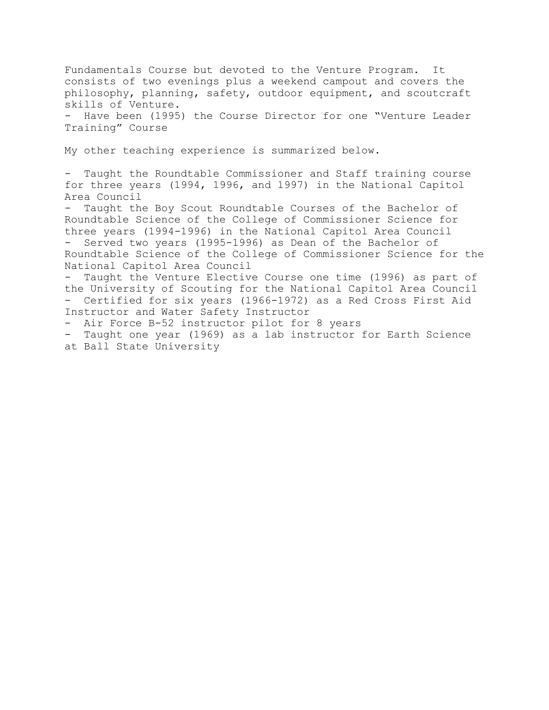Fundamentals Course but devoted to the Venture Program. It consists of two evenings plus a weekend campout and covers the philosophy, planning, safety, outdoor equipment, and scoutcraft skills of Venture. - Have been (1995) the Course Director for one "Venture Leader

Training" Course

My other teaching experience is summarized below.

- Taught the Roundtable Commissioner and Staff training course for three years (1994, 1996, and 1997) in the National Capitol Area Council

Taught the Boy Scout Roundtable Courses of the Bachelor of Roundtable Science of the College of Commissioner Science for three years (1994-1996) in the National Capitol Area Council Served two years (1995-1996) as Dean of the Bachelor of Roundtable Science of the College of Commissioner Science for the National Capitol Area Council

- Taught the Venture Elective Course one time (1996) as part of the University of Scouting for the National Capitol Area Council - Certified for six years (1966-1972) as a Red Cross First Aid Instructor and Water Safety Instructor

- Air Force B-52 instructor pilot for 8 years

- Taught one year (1969) as a lab instructor for Earth Science at Ball State University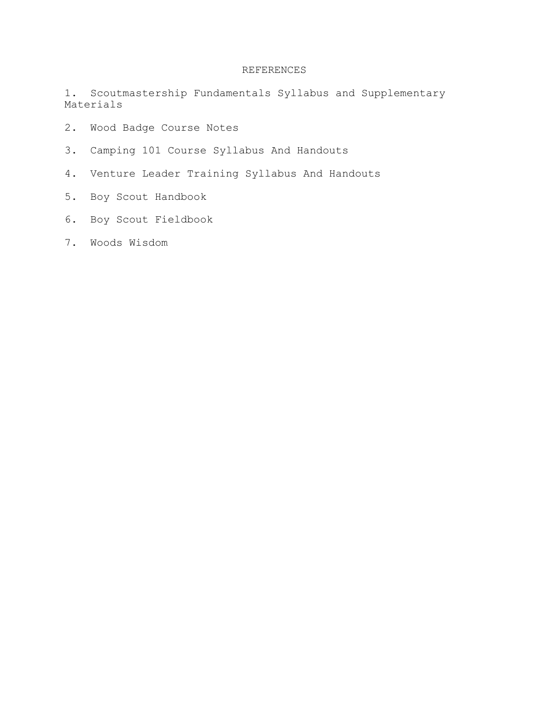# REFERENCES

1. Scoutmastership Fundamentals Syllabus and Supplementary Materials

- 2. Wood Badge Course Notes
- 3. Camping 101 Course Syllabus And Handouts
- 4. Venture Leader Training Syllabus And Handouts
- 5. Boy Scout Handbook
- 6. Boy Scout Fieldbook
- 7. Woods Wisdom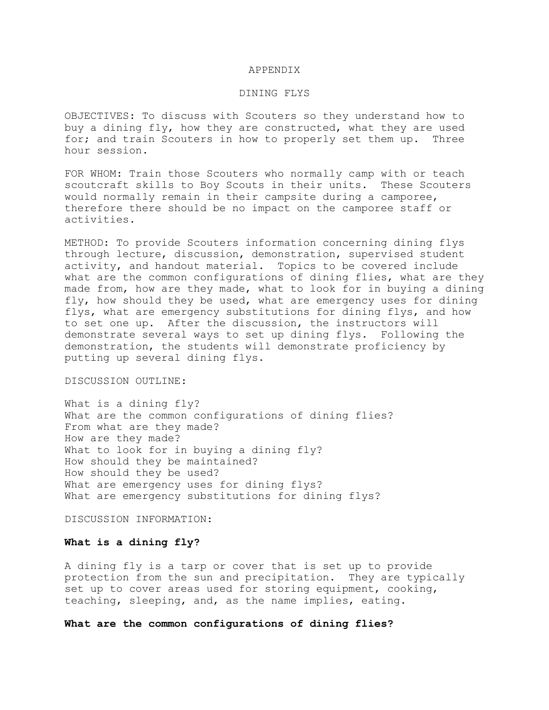#### APPENDIX

#### DINING FLYS

OBJECTIVES: To discuss with Scouters so they understand how to buy a dining fly, how they are constructed, what they are used for; and train Scouters in how to properly set them up. Three hour session.

FOR WHOM: Train those Scouters who normally camp with or teach scoutcraft skills to Boy Scouts in their units. These Scouters would normally remain in their campsite during a camporee, therefore there should be no impact on the camporee staff or activities.

METHOD: To provide Scouters information concerning dining flys through lecture, discussion, demonstration, supervised student activity, and handout material. Topics to be covered include what are the common configurations of dining flies, what are they made from, how are they made, what to look for in buying a dining fly, how should they be used, what are emergency uses for dining flys, what are emergency substitutions for dining flys, and how to set one up. After the discussion, the instructors will demonstrate several ways to set up dining flys. Following the demonstration, the students will demonstrate proficiency by putting up several dining flys.

### DISCUSSION OUTLINE:

What is a dining fly? What are the common configurations of dining flies? From what are they made? How are they made? What to look for in buying a dining fly? How should they be maintained? How should they be used? What are emergency uses for dining flys? What are emergency substitutions for dining flys?

DISCUSSION INFORMATION:

### **What is a dining fly?**

A dining fly is a tarp or cover that is set up to provide protection from the sun and precipitation. They are typically set up to cover areas used for storing equipment, cooking, teaching, sleeping, and, as the name implies, eating.

**What are the common configurations of dining flies?**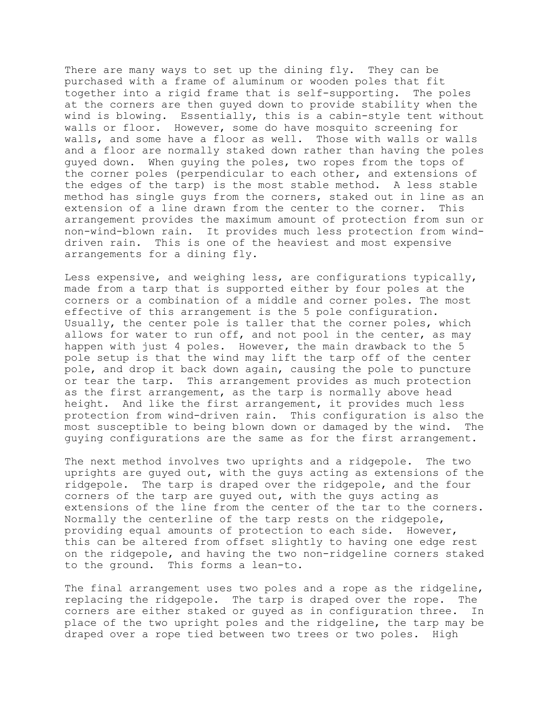There are many ways to set up the dining fly. They can be purchased with a frame of aluminum or wooden poles that fit together into a rigid frame that is self-supporting. The poles at the corners are then guyed down to provide stability when the wind is blowing. Essentially, this is a cabin-style tent without walls or floor. However, some do have mosquito screening for walls, and some have a floor as well. Those with walls or walls and a floor are normally staked down rather than having the poles guyed down. When guying the poles, two ropes from the tops of the corner poles (perpendicular to each other, and extensions of the edges of the tarp) is the most stable method. A less stable method has single guys from the corners, staked out in line as an extension of a line drawn from the center to the corner. This arrangement provides the maximum amount of protection from sun or non-wind-blown rain. It provides much less protection from winddriven rain. This is one of the heaviest and most expensive arrangements for a dining fly.

Less expensive, and weighing less, are configurations typically, made from a tarp that is supported either by four poles at the corners or a combination of a middle and corner poles. The most effective of this arrangement is the 5 pole configuration. Usually, the center pole is taller that the corner poles, which allows for water to run off, and not pool in the center, as may happen with just 4 poles. However, the main drawback to the 5 pole setup is that the wind may lift the tarp off of the center pole, and drop it back down again, causing the pole to puncture or tear the tarp. This arrangement provides as much protection as the first arrangement, as the tarp is normally above head height. And like the first arrangement, it provides much less protection from wind-driven rain. This configuration is also the most susceptible to being blown down or damaged by the wind. The guying configurations are the same as for the first arrangement.

The next method involves two uprights and a ridgepole. The two uprights are guyed out, with the guys acting as extensions of the ridgepole. The tarp is draped over the ridgepole, and the four corners of the tarp are guyed out, with the guys acting as extensions of the line from the center of the tar to the corners. Normally the centerline of the tarp rests on the ridgepole, providing equal amounts of protection to each side. However, this can be altered from offset slightly to having one edge rest on the ridgepole, and having the two non-ridgeline corners staked to the ground. This forms a lean-to.

The final arrangement uses two poles and a rope as the ridgeline, replacing the ridgepole. The tarp is draped over the rope. The corners are either staked or guyed as in configuration three. In place of the two upright poles and the ridgeline, the tarp may be draped over a rope tied between two trees or two poles. High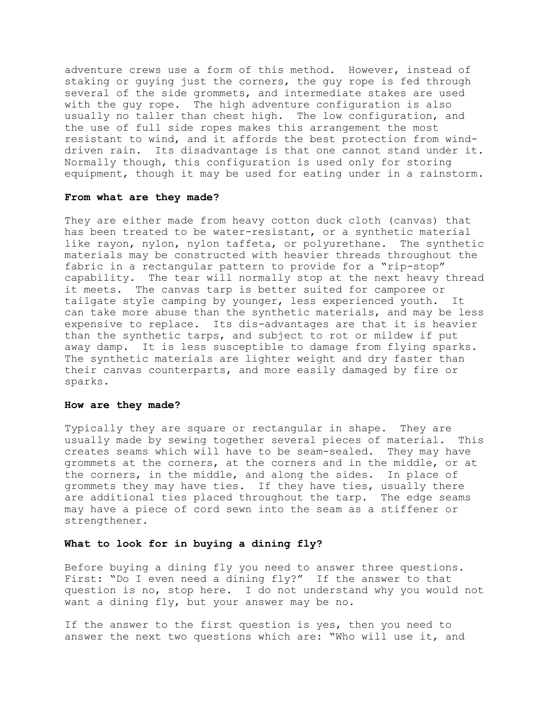adventure crews use a form of this method. However, instead of staking or guying just the corners, the guy rope is fed through several of the side grommets, and intermediate stakes are used with the guy rope. The high adventure configuration is also usually no taller than chest high. The low configuration, and the use of full side ropes makes this arrangement the most resistant to wind, and it affords the best protection from winddriven rain. Its disadvantage is that one cannot stand under it. Normally though, this configuration is used only for storing equipment, though it may be used for eating under in a rainstorm.

## **From what are they made?**

They are either made from heavy cotton duck cloth (canvas) that has been treated to be water-resistant, or a synthetic material like rayon, nylon, nylon taffeta, or polyurethane. The synthetic materials may be constructed with heavier threads throughout the fabric in a rectangular pattern to provide for a "rip-stop" capability. The tear will normally stop at the next heavy thread it meets. The canvas tarp is better suited for camporee or tailgate style camping by younger, less experienced youth. It can take more abuse than the synthetic materials, and may be less expensive to replace. Its dis-advantages are that it is heavier than the synthetic tarps, and subject to rot or mildew if put away damp. It is less susceptible to damage from flying sparks. The synthetic materials are lighter weight and dry faster than their canvas counterparts, and more easily damaged by fire or sparks.

### **How are they made?**

Typically they are square or rectangular in shape. They are usually made by sewing together several pieces of material. This creates seams which will have to be seam-sealed. They may have grommets at the corners, at the corners and in the middle, or at the corners, in the middle, and along the sides. In place of grommets they may have ties. If they have ties, usually there are additional ties placed throughout the tarp. The edge seams may have a piece of cord sewn into the seam as a stiffener or strengthener.

### **What to look for in buying a dining fly?**

Before buying a dining fly you need to answer three questions. First: "Do I even need a dining fly?" If the answer to that question is no, stop here. I do not understand why you would not want a dining fly, but your answer may be no.

If the answer to the first question is yes, then you need to answer the next two questions which are: "Who will use it, and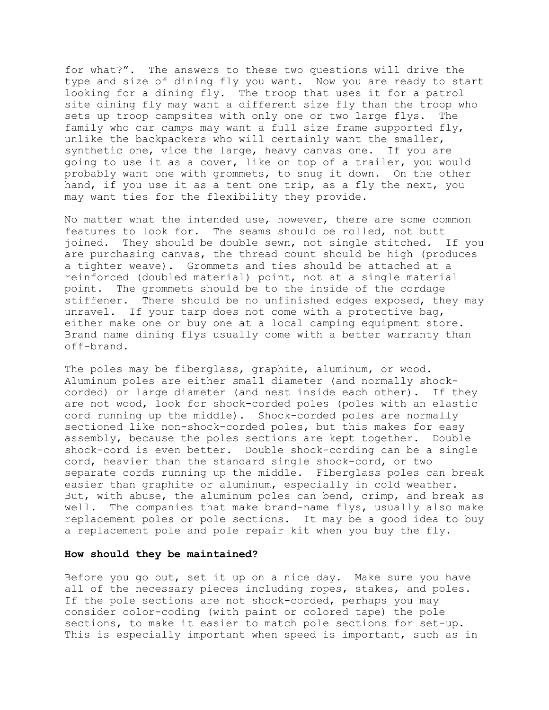for what?". The answers to these two questions will drive the type and size of dining fly you want. Now you are ready to start looking for a dining fly. The troop that uses it for a patrol site dining fly may want a different size fly than the troop who sets up troop campsites with only one or two large flys. The family who car camps may want a full size frame supported fly, unlike the backpackers who will certainly want the smaller, synthetic one, vice the large, heavy canvas one. If you are going to use it as a cover, like on top of a trailer, you would probably want one with grommets, to snug it down. On the other hand, if you use it as a tent one trip, as a fly the next, you may want ties for the flexibility they provide.

No matter what the intended use, however, there are some common features to look for. The seams should be rolled, not butt joined. They should be double sewn, not single stitched. If you are purchasing canvas, the thread count should be high (produces a tighter weave). Grommets and ties should be attached at a reinforced (doubled material) point, not at a single material point. The grommets should be to the inside of the cordage stiffener. There should be no unfinished edges exposed, they may unravel. If your tarp does not come with a protective bag, either make one or buy one at a local camping equipment store. Brand name dining flys usually come with a better warranty than off-brand.

The poles may be fiberglass, graphite, aluminum, or wood. Aluminum poles are either small diameter (and normally shockcorded) or large diameter (and nest inside each other). If they are not wood, look for shock-corded poles (poles with an elastic cord running up the middle). Shock-corded poles are normally sectioned like non-shock-corded poles, but this makes for easy assembly, because the poles sections are kept together. Double shock-cord is even better. Double shock-cording can be a single cord, heavier than the standard single shock-cord, or two separate cords running up the middle. Fiberglass poles can break easier than graphite or aluminum, especially in cold weather. But, with abuse, the aluminum poles can bend, crimp, and break as well. The companies that make brand-name flys, usually also make replacement poles or pole sections. It may be a good idea to buy a replacement pole and pole repair kit when you buy the fly.

### **How should they be maintained?**

Before you go out, set it up on a nice day. Make sure you have all of the necessary pieces including ropes, stakes, and poles. If the pole sections are not shock-corded, perhaps you may consider color-coding (with paint or colored tape) the pole sections, to make it easier to match pole sections for set-up. This is especially important when speed is important, such as in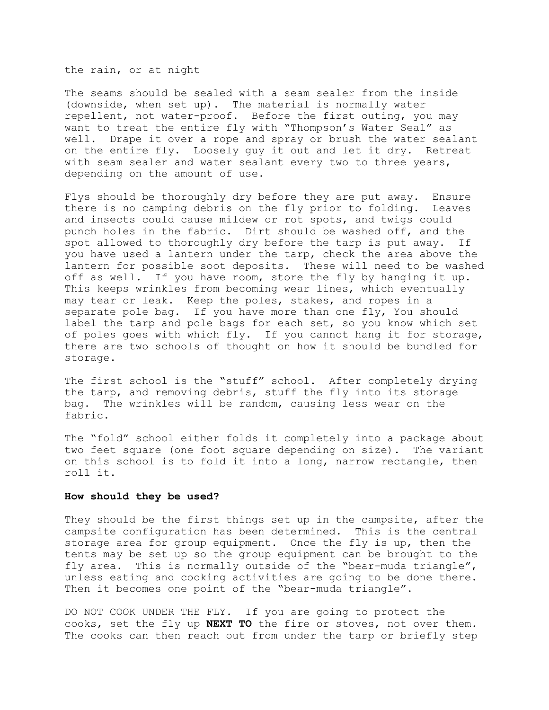the rain, or at night

The seams should be sealed with a seam sealer from the inside (downside, when set up). The material is normally water repellent, not water-proof. Before the first outing, you may want to treat the entire fly with "Thompson's Water Seal" as well. Drape it over a rope and spray or brush the water sealant on the entire fly. Loosely guy it out and let it dry. Retreat with seam sealer and water sealant every two to three years, depending on the amount of use.

Flys should be thoroughly dry before they are put away. Ensure there is no camping debris on the fly prior to folding. Leaves and insects could cause mildew or rot spots, and twigs could punch holes in the fabric. Dirt should be washed off, and the spot allowed to thoroughly dry before the tarp is put away. If you have used a lantern under the tarp, check the area above the lantern for possible soot deposits. These will need to be washed off as well. If you have room, store the fly by hanging it up. This keeps wrinkles from becoming wear lines, which eventually may tear or leak. Keep the poles, stakes, and ropes in a separate pole bag. If you have more than one fly, You should label the tarp and pole bags for each set, so you know which set of poles goes with which fly. If you cannot hang it for storage, there are two schools of thought on how it should be bundled for storage.

The first school is the "stuff" school. After completely drying the tarp, and removing debris, stuff the fly into its storage bag. The wrinkles will be random, causing less wear on the fabric.

The "fold" school either folds it completely into a package about two feet square (one foot square depending on size). The variant on this school is to fold it into a long, narrow rectangle, then roll it.

### **How should they be used?**

They should be the first things set up in the campsite, after the campsite configuration has been determined. This is the central storage area for group equipment. Once the fly is up, then the tents may be set up so the group equipment can be brought to the fly area. This is normally outside of the "bear-muda triangle", unless eating and cooking activities are going to be done there. Then it becomes one point of the "bear-muda triangle".

DO NOT COOK UNDER THE FLY. If you are going to protect the cooks, set the fly up **NEXT TO** the fire or stoves, not over them. The cooks can then reach out from under the tarp or briefly step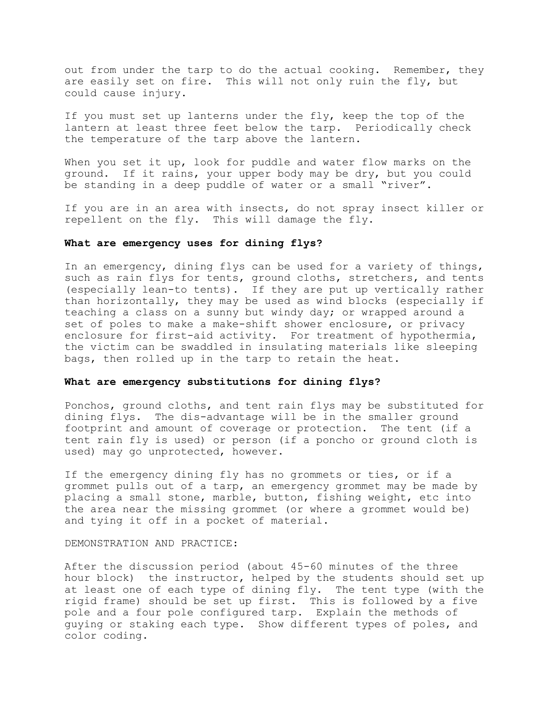out from under the tarp to do the actual cooking. Remember, they are easily set on fire. This will not only ruin the fly, but could cause injury.

If you must set up lanterns under the fly, keep the top of the lantern at least three feet below the tarp. Periodically check the temperature of the tarp above the lantern.

When you set it up, look for puddle and water flow marks on the ground. If it rains, your upper body may be dry, but you could be standing in a deep puddle of water or a small "river".

If you are in an area with insects, do not spray insect killer or repellent on the fly. This will damage the fly.

### **What are emergency uses for dining flys?**

In an emergency, dining flys can be used for a variety of things, such as rain flys for tents, ground cloths, stretchers, and tents (especially lean-to tents). If they are put up vertically rather than horizontally, they may be used as wind blocks (especially if teaching a class on a sunny but windy day; or wrapped around a set of poles to make a make-shift shower enclosure, or privacy enclosure for first-aid activity. For treatment of hypothermia, the victim can be swaddled in insulating materials like sleeping bags, then rolled up in the tarp to retain the heat.

### **What are emergency substitutions for dining flys?**

Ponchos, ground cloths, and tent rain flys may be substituted for dining flys. The dis-advantage will be in the smaller ground footprint and amount of coverage or protection. The tent (if a tent rain fly is used) or person (if a poncho or ground cloth is used) may go unprotected, however.

If the emergency dining fly has no grommets or ties, or if a grommet pulls out of a tarp, an emergency grommet may be made by placing a small stone, marble, button, fishing weight, etc into the area near the missing grommet (or where a grommet would be) and tying it off in a pocket of material.

### DEMONSTRATION AND PRACTICE:

After the discussion period (about 45-60 minutes of the three hour block) the instructor, helped by the students should set up at least one of each type of dining fly. The tent type (with the rigid frame) should be set up first. This is followed by a five pole and a four pole configured tarp. Explain the methods of guying or staking each type. Show different types of poles, and color coding.